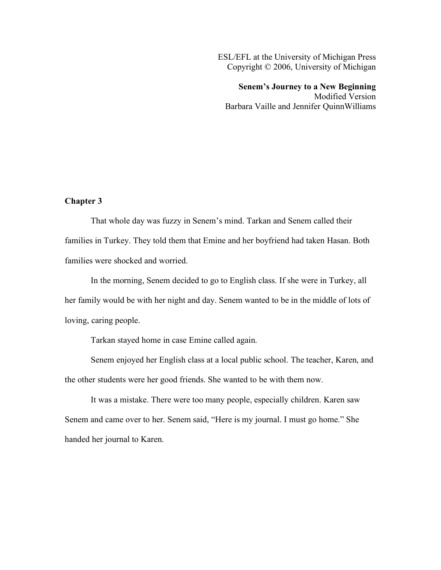ESL/EFL at the University of Michigan Press Copyright © 2006, University of Michigan

**Senem's Journey to a New Beginning** Modified Version Barbara Vaille and Jennifer QuinnWilliams

## **Chapter 3**

That whole day was fuzzy in Senem's mind. Tarkan and Senem called their families in Turkey. They told them that Emine and her boyfriend had taken Hasan. Both families were shocked and worried.

In the morning, Senem decided to go to English class. If she were in Turkey, all her family would be with her night and day. Senem wanted to be in the middle of lots of loving, caring people.

Tarkan stayed home in case Emine called again.

Senem enjoyed her English class at a local public school. The teacher, Karen, and the other students were her good friends. She wanted to be with them now.

It was a mistake. There were too many people, especially children. Karen saw Senem and came over to her. Senem said, "Here is my journal. I must go home." She handed her journal to Karen.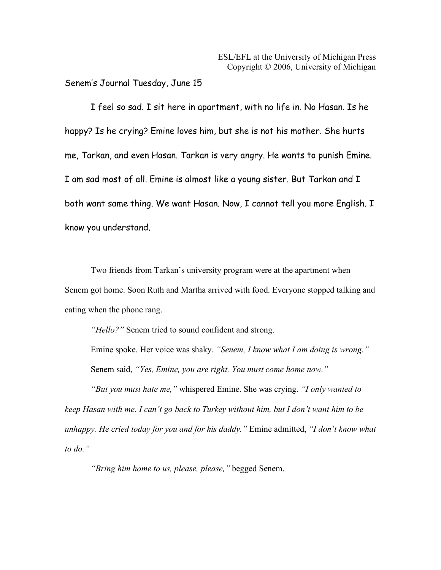Senem's Journal Tuesday, June 15

I feel so sad. I sit here in apartment, with no life in. No Hasan. Is he happy? Is he crying? Emine loves him, but she is not his mother. She hurts me, Tarkan, and even Hasan. Tarkan is very angry. He wants to punish Emine. I am sad most of all. Emine is almost like a young sister. But Tarkan and I both want same thing. We want Hasan. Now, I cannot tell you more English. I know you understand.

Two friends from Tarkan's university program were at the apartment when Senem got home. Soon Ruth and Martha arrived with food. Everyone stopped talking and eating when the phone rang.

*"Hello?"* Senem tried to sound confident and strong.

Emine spoke. Her voice was shaky. *"Senem, I know what I am doing is wrong."* Senem said, *"Yes, Emine, you are right. You must come home now."*

*"But you must hate me,"* whispered Emine. She was crying. *"I only wanted to keep Hasan with me. I can't go back to Turkey without him, but I don't want him to be unhappy. He cried today for you and for his daddy."* Emine admitted, *"I don't know what to do."*

*"Bring him home to us, please, please,"* begged Senem.